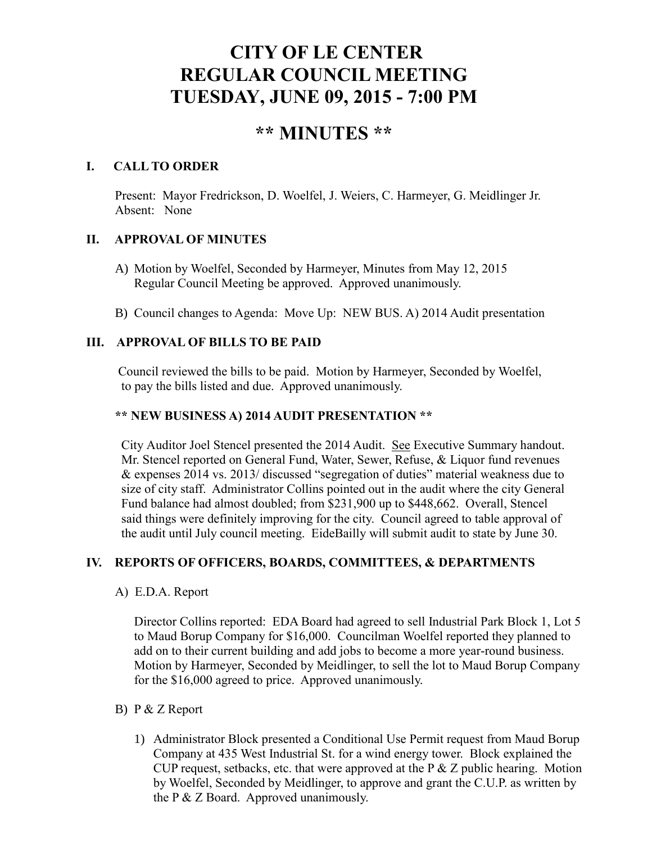# **CITY OF LE CENTER REGULAR COUNCIL MEETING TUESDAY, JUNE 09, 2015 - 7:00 PM**

## **\*\* MINUTES \*\***

#### **I. CALL TO ORDER**

Present: Mayor Fredrickson, D. Woelfel, J. Weiers, C. Harmeyer, G. Meidlinger Jr. Absent: None

#### **II. APPROVAL OF MINUTES**

- A) Motion by Woelfel, Seconded by Harmeyer, Minutes from May 12, 2015 Regular Council Meeting be approved. Approved unanimously.
- B) Council changes to Agenda: Move Up: NEW BUS. A) 2014 Audit presentation

#### **III. APPROVAL OF BILLS TO BE PAID**

Council reviewed the bills to be paid. Motion by Harmeyer, Seconded by Woelfel, to pay the bills listed and due. Approved unanimously.

#### **\*\* NEW BUSINESS A) 2014 AUDIT PRESENTATION \*\***

City Auditor Joel Stencel presented the 2014 Audit. See Executive Summary handout. Mr. Stencel reported on General Fund, Water, Sewer, Refuse, & Liquor fund revenues & expenses 2014 vs. 2013/ discussed "segregation of duties" material weakness due to size of city staff. Administrator Collins pointed out in the audit where the city General Fund balance had almost doubled; from \$231,900 up to \$448,662. Overall, Stencel said things were definitely improving for the city. Council agreed to table approval of the audit until July council meeting. EideBailly will submit audit to state by June 30.

### **IV. REPORTS OF OFFICERS, BOARDS, COMMITTEES, & DEPARTMENTS**

A) E.D.A. Report

 Director Collins reported: EDA Board had agreed to sell Industrial Park Block 1, Lot 5 to Maud Borup Company for \$16,000. Councilman Woelfel reported they planned to add on to their current building and add jobs to become a more year-round business. Motion by Harmeyer, Seconded by Meidlinger, to sell the lot to Maud Borup Company for the \$16,000 agreed to price. Approved unanimously.

#### B) P & Z Report

1) Administrator Block presented a Conditional Use Permit request from Maud Borup Company at 435 West Industrial St. for a wind energy tower. Block explained the CUP request, setbacks, etc. that were approved at the  $P \& Z$  public hearing. Motion by Woelfel, Seconded by Meidlinger, to approve and grant the C.U.P. as written by the P & Z Board. Approved unanimously.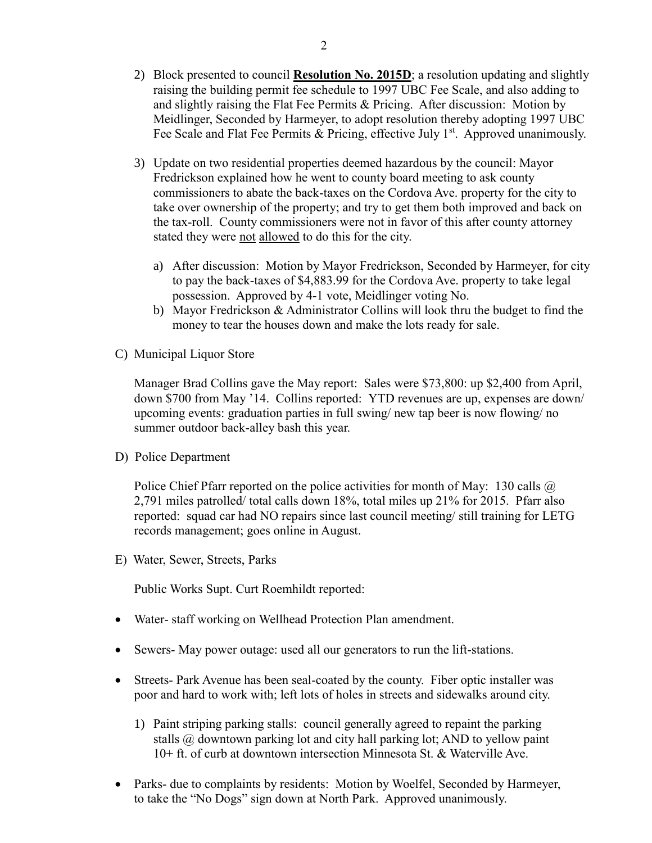- 2) Block presented to council **Resolution No. 2015D**; a resolution updating and slightly raising the building permit fee schedule to 1997 UBC Fee Scale, and also adding to and slightly raising the Flat Fee Permits & Pricing. After discussion: Motion by Meidlinger, Seconded by Harmeyer, to adopt resolution thereby adopting 1997 UBC Fee Scale and Flat Fee Permits & Pricing, effective July  $1<sup>st</sup>$ . Approved unanimously.
- 3) Update on two residential properties deemed hazardous by the council: Mayor Fredrickson explained how he went to county board meeting to ask county commissioners to abate the back-taxes on the Cordova Ave. property for the city to take over ownership of the property; and try to get them both improved and back on the tax-roll. County commissioners were not in favor of this after county attorney stated they were not allowed to do this for the city.
	- a) After discussion: Motion by Mayor Fredrickson, Seconded by Harmeyer, for city to pay the back-taxes of \$4,883.99 for the Cordova Ave. property to take legal possession. Approved by 4-1 vote, Meidlinger voting No.
	- b) Mayor Fredrickson & Administrator Collins will look thru the budget to find the money to tear the houses down and make the lots ready for sale.
- C) Municipal Liquor Store

Manager Brad Collins gave the May report: Sales were \$73,800: up \$2,400 from April, down \$700 from May '14. Collins reported: YTD revenues are up, expenses are down/ upcoming events: graduation parties in full swing/ new tap beer is now flowing/ no summer outdoor back-alley bash this year.

D) Police Department

Police Chief Pfarr reported on the police activities for month of May: 130 calls  $\omega$ 2,791 miles patrolled/ total calls down 18%, total miles up 21% for 2015. Pfarr also reported: squad car had NO repairs since last council meeting/ still training for LETG records management; goes online in August.

E) Water, Sewer, Streets, Parks

Public Works Supt. Curt Roemhildt reported:

- Water- staff working on Wellhead Protection Plan amendment.
- Sewers- May power outage: used all our generators to run the lift-stations.
- Streets- Park Avenue has been seal-coated by the county. Fiber optic installer was poor and hard to work with; left lots of holes in streets and sidewalks around city.
	- 1) Paint striping parking stalls: council generally agreed to repaint the parking stalls @ downtown parking lot and city hall parking lot; AND to yellow paint 10+ ft. of curb at downtown intersection Minnesota St. & Waterville Ave.
- Parks- due to complaints by residents: Motion by Woelfel, Seconded by Harmeyer, to take the "No Dogs" sign down at North Park. Approved unanimously.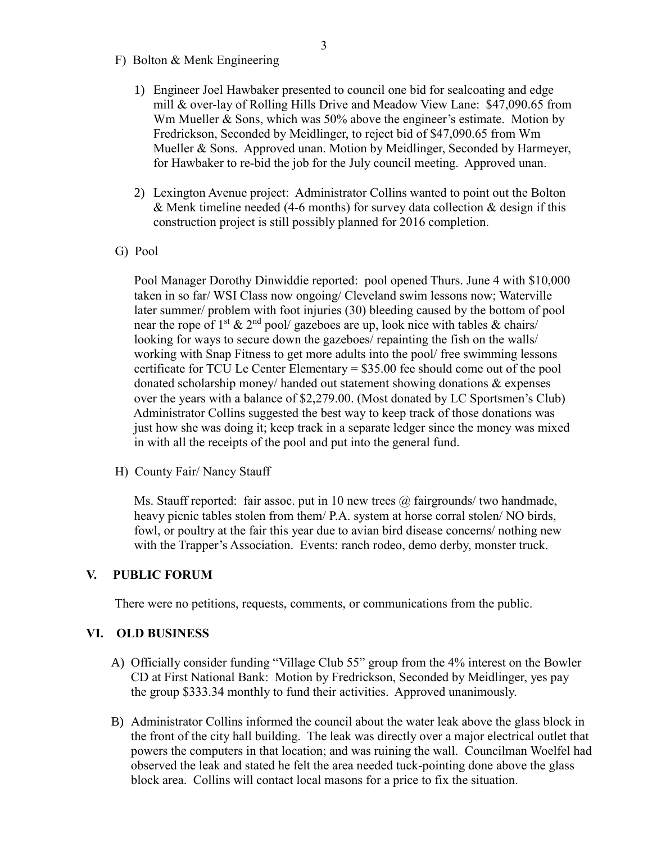- F) Bolton & Menk Engineering
	- 1) Engineer Joel Hawbaker presented to council one bid for sealcoating and edge mill & over-lay of Rolling Hills Drive and Meadow View Lane: \$47,090.65 from Wm Mueller & Sons, which was 50% above the engineer's estimate. Motion by Fredrickson, Seconded by Meidlinger, to reject bid of \$47,090.65 from Wm Mueller & Sons. Approved unan. Motion by Meidlinger, Seconded by Harmeyer, for Hawbaker to re-bid the job for the July council meeting. Approved unan.
	- 2) Lexington Avenue project: Administrator Collins wanted to point out the Bolton & Menk timeline needed (4-6 months) for survey data collection & design if this construction project is still possibly planned for 2016 completion.
- G) Pool

 Pool Manager Dorothy Dinwiddie reported: pool opened Thurs. June 4 with \$10,000 taken in so far/ WSI Class now ongoing/ Cleveland swim lessons now; Waterville later summer/ problem with foot injuries (30) bleeding caused by the bottom of pool near the rope of 1<sup>st</sup>  $\&$  2<sup>nd</sup> pool/ gazeboes are up, look nice with tables  $\&$  chairs/ looking for ways to secure down the gazeboes/ repainting the fish on the walls/ working with Snap Fitness to get more adults into the pool/ free swimming lessons certificate for TCU Le Center Elementary = \$35.00 fee should come out of the pool donated scholarship money/ handed out statement showing donations & expenses over the years with a balance of \$2,279.00. (Most donated by LC Sportsmen's Club) Administrator Collins suggested the best way to keep track of those donations was just how she was doing it; keep track in a separate ledger since the money was mixed in with all the receipts of the pool and put into the general fund.

H) County Fair/ Nancy Stauff

Ms. Stauff reported: fair assoc. put in 10 new trees  $\omega$  fairgrounds/ two handmade, heavy picnic tables stolen from them/ P.A. system at horse corral stolen/ NO birds, fowl, or poultry at the fair this year due to avian bird disease concerns/ nothing new with the Trapper's Association. Events: ranch rodeo, demo derby, monster truck.

#### **V. PUBLIC FORUM**

There were no petitions, requests, comments, or communications from the public.

#### **VI. OLD BUSINESS**

- A) Officially consider funding "Village Club 55" group from the 4% interest on the Bowler CD at First National Bank: Motion by Fredrickson, Seconded by Meidlinger, yes pay the group \$333.34 monthly to fund their activities. Approved unanimously.
- B) Administrator Collins informed the council about the water leak above the glass block in the front of the city hall building. The leak was directly over a major electrical outlet that powers the computers in that location; and was ruining the wall. Councilman Woelfel had observed the leak and stated he felt the area needed tuck-pointing done above the glass block area. Collins will contact local masons for a price to fix the situation.